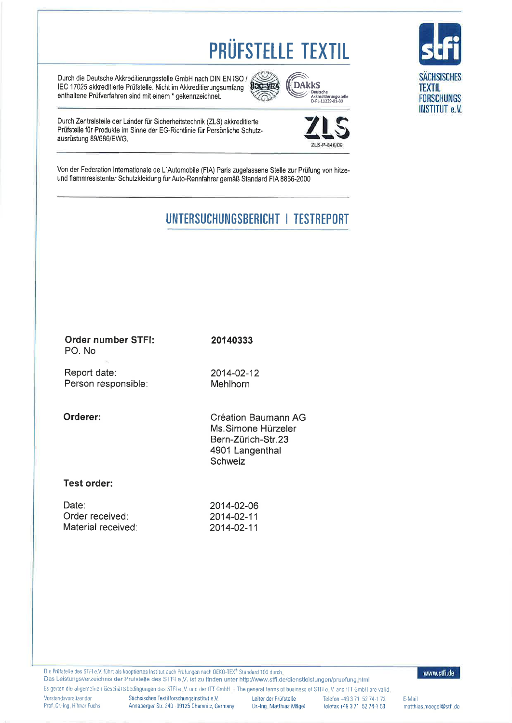# **PRÜFSTELLE TEXTIL**

Durch die Deutsche Akkreditierungsstelle GmbH nach DIN EN ISO / IEC 17025 akkreditierte Prüfstelle. Nicht im Akkreditierungsumfang enthaltene Prüfverfahren sind mit einem \* gekennzeichnet.



Durch Zentralstelle der Länder für Sicherheitstechnik (ZLS) akkreditierte Prüfstelle für Produkte im Sinne der EG-Richtlinie für Persönliche Schutzausrüstung 89/686/EWG.

Von der Federation Internationale de L'Automobile (FIA) Paris zugelassene Stelle zur Prüfung von hitzeund flammresistenter Schutzkleidung für Auto-Rennfahrer gemäß Standard FIA 8856-2000

## UNTERSUCHUNGSBERICHT | TESTREPORT

| Order number STFI:<br>20140333<br>PO. No<br>Report date:<br>2014-02-12<br>Person responsible:<br>Mehlhorn<br>Orderer:<br>Création Baumann AG<br>Ms. Simone Hürzeler<br>Bern-Zürich-Str.23<br>4901 Langenthal<br>Schweiz<br>Test order:<br>Date:<br>2014-02-06<br>Order received:<br>2014-02-11<br>Material received:<br>2014-02-11 |  |
|------------------------------------------------------------------------------------------------------------------------------------------------------------------------------------------------------------------------------------------------------------------------------------------------------------------------------------|--|
|                                                                                                                                                                                                                                                                                                                                    |  |
|                                                                                                                                                                                                                                                                                                                                    |  |
|                                                                                                                                                                                                                                                                                                                                    |  |
|                                                                                                                                                                                                                                                                                                                                    |  |
|                                                                                                                                                                                                                                                                                                                                    |  |

Die Prüfstelle des STFI e.V. führt als kooptiertes Institut auch Prüfungen nach OEKO-TEX® Standard 100 durch.

www.stfi.de

Das Leistungsverzeichnis der Prüfstelle des STFI e.V. ist zu finden unter http://www.stfi.de/dienstleistungen/pruefung.html Es geiten die aligemeinen Geschäftsbedingungen des STFI e. V. und der ITT GmbH - The general terms of business of STFI e. V. and ITT GmbH are valid,

Vorstandsvorsitzender Prof. Dr.-Ing. Hilmar Fuchs Sächsisches Textilforschungsinstitut e.V. Annaberger Str. 240 09125 Chemnitz, Germany

Leiter der Prüfstelle Dr.-Ing, Matthias Mägel

Telefon +49 3 71 52 74-1 72 Telefax +49 3 71 52 74-1 53

E-Mail matthias maegel@stfi de

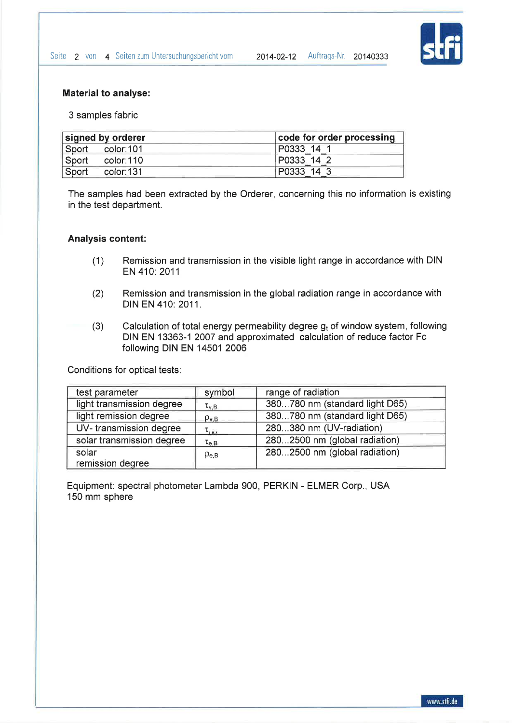

#### Material to analyse:

3 samples fabric

| signed by orderer |           | code for order processing |
|-------------------|-----------|---------------------------|
| Sport             | color:101 | P0333 14                  |
| Sport             | color:110 | P0333 14 2                |
| Sport             | color:131 | P0333 14 3                |

The samples had been extracted by the Orderer, concerning this no information is existing in the test department.

#### Analysis content:

- (1) Remission and transmission in the visible light range in accordance with DIN EN 410: 2011
- (2) Remission and transmission in the global radiation range in accordance with DIN EN 410:2011.
- (3) Calculation of total energy permeability degree  $g_t$  of window system, following DIN EN 13363-1 2007 and approximated calculation of reduce factor Fc following DIN EN 14501 2006

Conditions for optical tests:

| test parameter            | symbol            | range of radiation             |
|---------------------------|-------------------|--------------------------------|
| light transmission degree | $\tau_{\rm v,B}$  | 380780 nm (standard light D65) |
| light remission degree    | $\rho_{\rm{v.B}}$ | 380780 nm (standard light D65) |
| UV-transmission degree    | $\tau_{\mu\nu}$   | 280380 nm (UV-radiation)       |
| solar transmission degree | $\tau_{e,B}$      | 2802500 nm (global radiation)  |
| solar                     | $\rho_{e,B}$      | 2802500 nm (global radiation)  |
| remission degree          |                   |                                |

Equipment: spectral photometer Lambda 900, PERKIN - ELMER Corp., USA 150 mm sphere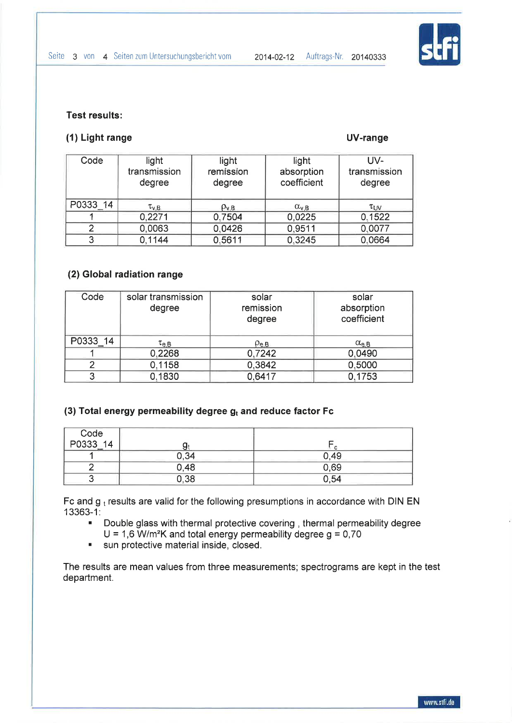

#### Test results:

#### (1) Light range UV-range

| Code     | light<br>transmission<br>degree | light<br>remission<br>degree | light<br>absorption<br>coefficient | UV-<br>transmission<br>degree |
|----------|---------------------------------|------------------------------|------------------------------------|-------------------------------|
| P0333 14 | $\tau_{\rm v,B}$                | $\rho_{\rm v,B}$             | $\alpha_{v,B}$                     | $\tau_{UV}$                   |
|          | 0,2271                          | 0.7504                       | 0.0225                             | 0,1522                        |
|          | 0,0063                          | 0.0426                       | 0,9511                             | 0,0077                        |
| 3        | 0,1144                          | 0.5611                       | 0.3245                             | 0,0664                        |

### (2) Global radiation range

| Code     | solar transmission<br>degree | solar<br>remission<br>degree | solar<br>absorption<br>coefficient |
|----------|------------------------------|------------------------------|------------------------------------|
| P0333 14 | $\tau_{e,B}$                 | $\rho_{\text{e,B}}$          | $\alpha_{e,B}$                     |
|          | 0,2268                       | 0,7242                       | 0,0490                             |
|          | 0,1158                       | 0,3842                       | 0,5000                             |
|          | 0,1830                       | 0,6417                       | 0,1753                             |

#### (3) Total energy permeability degree  $g_t$  and reduce factor Fc

| Code<br>P0333_14 |      |      |
|------------------|------|------|
|                  | 0,34 | 0.49 |
|                  | 0,48 | 0.69 |
|                  | 0,38 | 0,54 |

Fc and  $g_t$  results are valid for the following presumptions in accordance with DIN EN <sup>1</sup>3363-1 :

- . Double glass with thermal protective covering , thermal permeability degree  $U = 1,6$  W/m<sup>2</sup>K and total energy permeability degree  $g = 0,70$
- **EXECUTE:** sun protective material inside, closed.

The results are mean values from three measurements; spectrograms are kept in the test department.